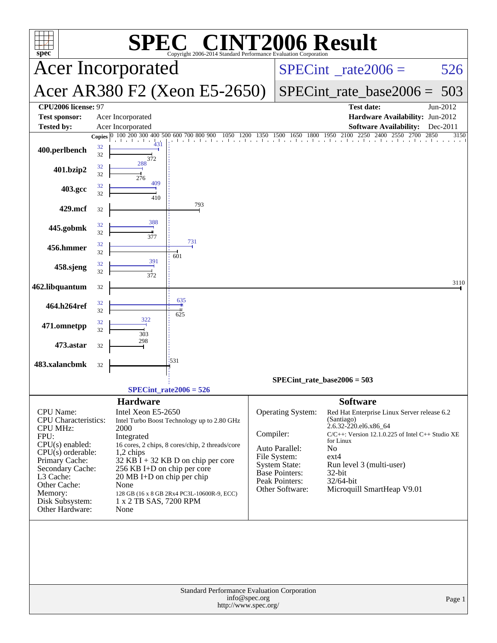| <b>INT2006 Result</b><br>$\blacksquare$<br>$spec^*$<br>Copyright 2006-2014 Standard Performance Evaluation Corporatio                                                                                                        |                                                                                                                                                                                                                                                                                                                                                        |              |                                                                                                                                           |                                                                                                                                                                                                                                                                |                      |  |
|------------------------------------------------------------------------------------------------------------------------------------------------------------------------------------------------------------------------------|--------------------------------------------------------------------------------------------------------------------------------------------------------------------------------------------------------------------------------------------------------------------------------------------------------------------------------------------------------|--------------|-------------------------------------------------------------------------------------------------------------------------------------------|----------------------------------------------------------------------------------------------------------------------------------------------------------------------------------------------------------------------------------------------------------------|----------------------|--|
|                                                                                                                                                                                                                              | <b>Acer Incorporated</b>                                                                                                                                                                                                                                                                                                                               |              | $SPECint^{\circ}$ <sub>_rate2006</sub> =                                                                                                  | 526                                                                                                                                                                                                                                                            |                      |  |
|                                                                                                                                                                                                                              | Acer AR380 F2 (Xeon E5-2650)                                                                                                                                                                                                                                                                                                                           |              |                                                                                                                                           | $SPECint_rate_base2006 =$                                                                                                                                                                                                                                      | 503                  |  |
| CPU2006 license: 97<br><b>Test sponsor:</b><br><b>Tested by:</b>                                                                                                                                                             | Acer Incorporated<br>Acer Incorporated                                                                                                                                                                                                                                                                                                                 |              |                                                                                                                                           | <b>Test date:</b><br>Hardware Availability: Jun-2012<br><b>Software Availability:</b>                                                                                                                                                                          | Jun-2012<br>Dec-2011 |  |
|                                                                                                                                                                                                                              | 100 200 300 400 500 600 700 800 900<br>1050<br><b>Copies</b>                                                                                                                                                                                                                                                                                           | 1200<br>1350 | 1500<br>1800<br>1650                                                                                                                      | 1950 2100<br>2250<br>2400<br>2550<br>2700<br>and the continued area                                                                                                                                                                                            | 2850<br>3150         |  |
| 400.perlbench                                                                                                                                                                                                                | 431<br>32<br>32<br>372                                                                                                                                                                                                                                                                                                                                 |              |                                                                                                                                           |                                                                                                                                                                                                                                                                |                      |  |
| 401.bzip2                                                                                                                                                                                                                    | 288<br>32<br>32<br>276                                                                                                                                                                                                                                                                                                                                 |              |                                                                                                                                           |                                                                                                                                                                                                                                                                |                      |  |
| 403.gcc                                                                                                                                                                                                                      | 409<br>32<br>32<br>410                                                                                                                                                                                                                                                                                                                                 |              |                                                                                                                                           |                                                                                                                                                                                                                                                                |                      |  |
| 429.mcf                                                                                                                                                                                                                      | 793<br>32                                                                                                                                                                                                                                                                                                                                              |              |                                                                                                                                           |                                                                                                                                                                                                                                                                |                      |  |
| 445.gobmk                                                                                                                                                                                                                    | 388<br>32<br>32<br>377                                                                                                                                                                                                                                                                                                                                 |              |                                                                                                                                           |                                                                                                                                                                                                                                                                |                      |  |
| 456.hmmer                                                                                                                                                                                                                    | 731<br>32<br>32                                                                                                                                                                                                                                                                                                                                        |              |                                                                                                                                           |                                                                                                                                                                                                                                                                |                      |  |
| 458.sjeng                                                                                                                                                                                                                    | 601<br>391<br>32<br>32<br>372                                                                                                                                                                                                                                                                                                                          |              |                                                                                                                                           |                                                                                                                                                                                                                                                                |                      |  |
| 462.libquantum                                                                                                                                                                                                               | 32                                                                                                                                                                                                                                                                                                                                                     |              |                                                                                                                                           |                                                                                                                                                                                                                                                                | 3110                 |  |
| 464.h264ref                                                                                                                                                                                                                  | 635<br>32<br>32<br>625                                                                                                                                                                                                                                                                                                                                 |              |                                                                                                                                           |                                                                                                                                                                                                                                                                |                      |  |
| 471.omnetpp                                                                                                                                                                                                                  | 32<br>32<br>303                                                                                                                                                                                                                                                                                                                                        |              |                                                                                                                                           |                                                                                                                                                                                                                                                                |                      |  |
| 473.astar                                                                                                                                                                                                                    | 298<br>32                                                                                                                                                                                                                                                                                                                                              |              |                                                                                                                                           |                                                                                                                                                                                                                                                                |                      |  |
| 483.xalancbmk                                                                                                                                                                                                                | 1531<br>32                                                                                                                                                                                                                                                                                                                                             |              |                                                                                                                                           |                                                                                                                                                                                                                                                                |                      |  |
|                                                                                                                                                                                                                              |                                                                                                                                                                                                                                                                                                                                                        |              | $SPECint_rate_base2006 = 503$                                                                                                             |                                                                                                                                                                                                                                                                |                      |  |
|                                                                                                                                                                                                                              | $SPECint_rate2006 = 526$<br><b>Hardware</b>                                                                                                                                                                                                                                                                                                            |              |                                                                                                                                           | <b>Software</b>                                                                                                                                                                                                                                                |                      |  |
| CPU Name:<br>CPU Characteristics:<br><b>CPU MHz:</b><br>FPU:<br>$CPU(s)$ enabled:<br>$CPU(s)$ orderable:<br>Primary Cache:<br>Secondary Cache:<br>L3 Cache:<br>Other Cache:<br>Memory:<br>Disk Subsystem:<br>Other Hardware: | Intel Xeon E5-2650<br>Intel Turbo Boost Technology up to 2.80 GHz<br>2000<br>Integrated<br>16 cores, 2 chips, 8 cores/chip, 2 threads/core<br>$1,2$ chips<br>$32$ KB I + 32 KB D on chip per core<br>256 KB I+D on chip per core<br>20 MB I+D on chip per chip<br>None<br>128 GB (16 x 8 GB 2Rx4 PC3L-10600R-9, ECC)<br>1 x 2 TB SAS, 7200 RPM<br>None | Compiler:    | Operating System:<br>Auto Parallel:<br>File System:<br><b>System State:</b><br><b>Base Pointers:</b><br>Peak Pointers:<br>Other Software: | Red Hat Enterprise Linux Server release 6.2<br>(Santiago)<br>2.6.32-220.el6.x86 64<br>$C/C++$ : Version 12.1.0.225 of Intel $C++$ Studio XE<br>for Linux<br>No<br>$ext{4}$<br>Run level 3 (multi-user)<br>32-bit<br>$32/64$ -bit<br>Microquill SmartHeap V9.01 |                      |  |
| Standard Performance Evaluation Corporation<br>info@spec.org<br>Page 1<br>http://www.spec.org/                                                                                                                               |                                                                                                                                                                                                                                                                                                                                                        |              |                                                                                                                                           |                                                                                                                                                                                                                                                                |                      |  |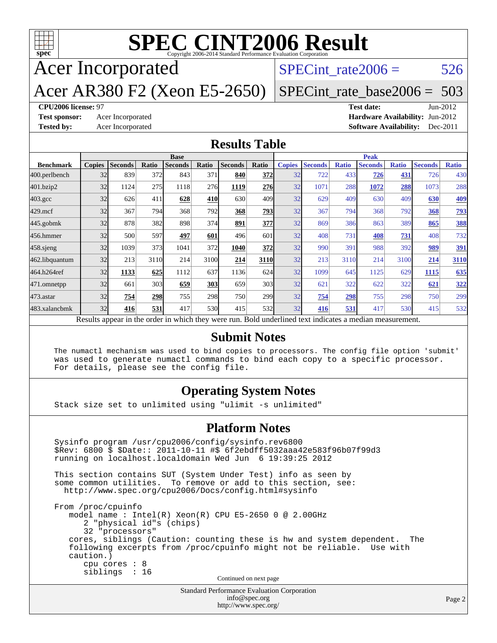

# **[SPEC CINT2006 Result](http://www.spec.org/auto/cpu2006/Docs/result-fields.html#SPECCINT2006Result)**

Acer Incorporated

SPECint rate $2006 = 526$ 

Acer AR380 F2 (Xeon E5-2650)

[SPECint\\_rate\\_base2006 =](http://www.spec.org/auto/cpu2006/Docs/result-fields.html#SPECintratebase2006) 503

#### **[CPU2006 license:](http://www.spec.org/auto/cpu2006/Docs/result-fields.html#CPU2006license)** 97 **[Test date:](http://www.spec.org/auto/cpu2006/Docs/result-fields.html#Testdate)** Jun-2012

**[Test sponsor:](http://www.spec.org/auto/cpu2006/Docs/result-fields.html#Testsponsor)** Acer Incorporated **[Hardware Availability:](http://www.spec.org/auto/cpu2006/Docs/result-fields.html#HardwareAvailability)** Jun-2012 **[Tested by:](http://www.spec.org/auto/cpu2006/Docs/result-fields.html#Testedby)** Acer Incorporated **[Software Availability:](http://www.spec.org/auto/cpu2006/Docs/result-fields.html#SoftwareAvailability)** Dec-2011

#### **[Results Table](http://www.spec.org/auto/cpu2006/Docs/result-fields.html#ResultsTable)**

|                                                                                                          | <b>Base</b>   |                |              |                |            |                | <b>Peak</b>      |               |                |              |                |              |                |              |
|----------------------------------------------------------------------------------------------------------|---------------|----------------|--------------|----------------|------------|----------------|------------------|---------------|----------------|--------------|----------------|--------------|----------------|--------------|
| <b>Benchmark</b>                                                                                         | <b>Copies</b> | <b>Seconds</b> | <b>Ratio</b> | <b>Seconds</b> | Ratio      | <b>Seconds</b> | Ratio            | <b>Copies</b> | <b>Seconds</b> | <b>Ratio</b> | <b>Seconds</b> | <b>Ratio</b> | <b>Seconds</b> | <b>Ratio</b> |
| 400.perlbench                                                                                            | 32            | 839            | 372          | 843            | 371        | 840            | 372              | 32            | 722            | 433          | 726            | 431          | 726            | 430          |
| 401.bzip2                                                                                                | 32            | 1124           | 275          | 1118           | 276        | 1119           | <b>276</b>       | 32            | 1071           | 288          | 1072           | 288          | 1073           | 288          |
| $403.\mathrm{gcc}$                                                                                       | 32            | 626            | 411          | 628            | 410        | 630            | 409              | 32            | 629            | 409          | 630            | 409          | 630            | <u>409</u>   |
| $429$ .mcf                                                                                               | 32            | 367            | 794          | 368            | 792        | 368            | 793              | 32            | 367            | 794          | 368            | 792          | 368            | <u>793</u>   |
| 445.gobmk                                                                                                | 32            | 878            | 382          | 898            | 374        | 891            | 377              | 32            | 869            | 386          | 863            | 389          | 865            | 388          |
| 456.hmmer                                                                                                | 32            | 500            | 597          | 497            | 601        | 496            | 601              | 32            | 408            | 731          | 408            | 731          | 408            | 732          |
| 458 sjeng                                                                                                | 32            | 1039           | 373          | 1041           | 372        | 1040           | 372              | 32            | 990            | 391          | 988            | 392          | 989            | <u>391</u>   |
| 462.libquantum                                                                                           | 32            | 213            | 3110         | 214            | 3100       | 214            | 3110             | 32            | 213            | 3110         | 214            | 3100         | 214            | 3110         |
| 464.h264ref                                                                                              | 32            | 1133           | 625          | 1112           | 637        | 1136           | 624              | 32            | 1099           | 645          | 1125           | 629          | 1115           | 635          |
| 471.omnetpp                                                                                              | 32            | 661            | 303          | 659            | 303        | 659            | 303              | 32            | 621            | 322          | 622            | 322          | 621            | <u>322</u>   |
| $473$ . astar                                                                                            | 32            | 754            | 298          | 755            | 298        | 750            | 299 <sub>1</sub> | 32            | 754            | 298          | 755            | 298          | 750            | 299          |
| 483.xalancbmk                                                                                            | 32            | 416            | 531          | 417            | <b>530</b> | 415            | <b>532</b>       | 32            | 416            | 531          | 417            | 530          | 415            | 532          |
| Results appear in the order in which they were run. Bold underlined text indicates a median measurement. |               |                |              |                |            |                |                  |               |                |              |                |              |                |              |

#### **[Submit Notes](http://www.spec.org/auto/cpu2006/Docs/result-fields.html#SubmitNotes)**

 The numactl mechanism was used to bind copies to processors. The config file option 'submit' was used to generate numactl commands to bind each copy to a specific processor. For details, please see the config file.

#### **[Operating System Notes](http://www.spec.org/auto/cpu2006/Docs/result-fields.html#OperatingSystemNotes)**

Stack size set to unlimited using "ulimit -s unlimited"

#### **[Platform Notes](http://www.spec.org/auto/cpu2006/Docs/result-fields.html#PlatformNotes)**

Standard Performance Evaluation Corporation Sysinfo program /usr/cpu2006/config/sysinfo.rev6800 \$Rev: 6800 \$ \$Date:: 2011-10-11 #\$ 6f2ebdff5032aaa42e583f96b07f99d3 running on localhost.localdomain Wed Jun 6 19:39:25 2012 This section contains SUT (System Under Test) info as seen by some common utilities. To remove or add to this section, see: <http://www.spec.org/cpu2006/Docs/config.html#sysinfo> From /proc/cpuinfo model name : Intel(R) Xeon(R) CPU E5-2650 0 @ 2.00GHz 2 "physical id"s (chips) 32 "processors" cores, siblings (Caution: counting these is hw and system dependent. The following excerpts from /proc/cpuinfo might not be reliable. Use with caution.) cpu cores : 8 siblings : 16 Continued on next page

[info@spec.org](mailto:info@spec.org) <http://www.spec.org/>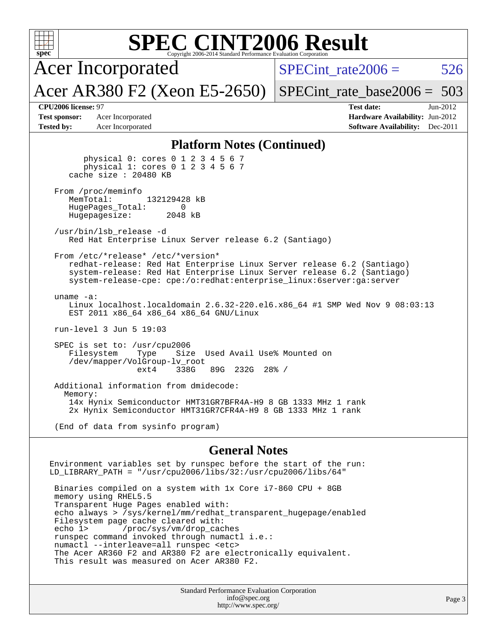| <b>SPEC CINT2006 Result</b><br>spec <sup>®</sup><br>Copyright 2006-2014 Standard Performance Evaluation Corporation                                                                                                                                                                                                                                                                                                                                                                             |                                                                                   |                                                                                                                     |  |  |  |  |
|-------------------------------------------------------------------------------------------------------------------------------------------------------------------------------------------------------------------------------------------------------------------------------------------------------------------------------------------------------------------------------------------------------------------------------------------------------------------------------------------------|-----------------------------------------------------------------------------------|---------------------------------------------------------------------------------------------------------------------|--|--|--|--|
|                                                                                                                                                                                                                                                                                                                                                                                                                                                                                                 | <b>Acer Incorporated</b>                                                          | SPECint rate $2006 =$<br>526                                                                                        |  |  |  |  |
|                                                                                                                                                                                                                                                                                                                                                                                                                                                                                                 | Acer AR380 F2 (Xeon E5-2650)                                                      | $SPECint_rate\_base2006 = 503$                                                                                      |  |  |  |  |
| CPU2006 license: 97<br><b>Test sponsor:</b><br><b>Tested by:</b>                                                                                                                                                                                                                                                                                                                                                                                                                                | Acer Incorporated<br>Acer Incorporated                                            | <b>Test date:</b><br>$Jun-2012$<br><b>Hardware Availability: Jun-2012</b><br><b>Software Availability:</b> Dec-2011 |  |  |  |  |
| <b>Platform Notes (Continued)</b>                                                                                                                                                                                                                                                                                                                                                                                                                                                               |                                                                                   |                                                                                                                     |  |  |  |  |
| physical 0: cores 0 1 2 3 4 5 6 7<br>physical 1: cores 0 1 2 3 4 5 6 7<br>cache size : 20480 KB                                                                                                                                                                                                                                                                                                                                                                                                 |                                                                                   |                                                                                                                     |  |  |  |  |
| From /proc/meminfo<br>132129428 kB<br>MemTotal:<br>HugePages_Total:<br>0<br>Hugepagesize:<br>2048 kB                                                                                                                                                                                                                                                                                                                                                                                            |                                                                                   |                                                                                                                     |  |  |  |  |
|                                                                                                                                                                                                                                                                                                                                                                                                                                                                                                 | /usr/bin/lsb_release -d<br>Red Hat Enterprise Linux Server release 6.2 (Santiago) |                                                                                                                     |  |  |  |  |
| From /etc/*release* /etc/*version*<br>redhat-release: Red Hat Enterprise Linux Server release 6.2 (Santiago)<br>system-release: Red Hat Enterprise Linux Server release 6.2 (Santiago)<br>system-release-cpe: cpe:/o:redhat:enterprise_linux:6server:ga:server                                                                                                                                                                                                                                  |                                                                                   |                                                                                                                     |  |  |  |  |
| uname $-a$ :<br>Linux localhost.localdomain 2.6.32-220.el6.x86_64 #1 SMP Wed Nov 9 08:03:13<br>EST 2011 x86_64 x86_64 x86_64 GNU/Linux                                                                                                                                                                                                                                                                                                                                                          |                                                                                   |                                                                                                                     |  |  |  |  |
|                                                                                                                                                                                                                                                                                                                                                                                                                                                                                                 | run-level $3$ Jun $5$ 19:03                                                       |                                                                                                                     |  |  |  |  |
| SPEC is set to: /usr/cpu2006<br>Size<br>Used Avail Use% Mounted on<br>Filesystem<br>Type<br>/dev/mapper/VolGroup-lv_root<br>338G<br>89G 232G<br>$28\%$ /<br>ext4                                                                                                                                                                                                                                                                                                                                |                                                                                   |                                                                                                                     |  |  |  |  |
| Additional information from dmidecode:<br>Memory:<br>14x Hynix Semiconductor HMT31GR7BFR4A-H9 8 GB 1333 MHz 1 rank                                                                                                                                                                                                                                                                                                                                                                              |                                                                                   |                                                                                                                     |  |  |  |  |
| 2x Hynix Semiconductor HMT31GR7CFR4A-H9 8 GB 1333 MHz 1 rank                                                                                                                                                                                                                                                                                                                                                                                                                                    |                                                                                   |                                                                                                                     |  |  |  |  |
| (End of data from sysinfo program)                                                                                                                                                                                                                                                                                                                                                                                                                                                              |                                                                                   |                                                                                                                     |  |  |  |  |
| <b>General Notes</b>                                                                                                                                                                                                                                                                                                                                                                                                                                                                            |                                                                                   |                                                                                                                     |  |  |  |  |
| Environment variables set by runspec before the start of the run:<br>LD_LIBRARY_PATH = "/usr/cpu2006/libs/32:/usr/cpu2006/libs/64"                                                                                                                                                                                                                                                                                                                                                              |                                                                                   |                                                                                                                     |  |  |  |  |
| Binaries compiled on a system with 1x Core i7-860 CPU + 8GB<br>memory using RHEL5.5<br>Transparent Huge Pages enabled with:<br>echo always > /sys/kernel/mm/redhat_transparent_hugepage/enabled<br>Filesystem page cache cleared with:<br>/proc/sys/vm/drop_caches<br>echo 1><br>runspec command invoked through numactl i.e.:<br>numactl --interleave=all runspec <etc><br/>The Acer AR360 F2 and AR380 F2 are electronically equivalent.<br/>This result was measured on Acer AR380 F2.</etc> |                                                                                   |                                                                                                                     |  |  |  |  |
|                                                                                                                                                                                                                                                                                                                                                                                                                                                                                                 | Standard Performance Evaluation Corporation<br>info@spec                          |                                                                                                                     |  |  |  |  |

[info@spec.org](mailto:info@spec.org) <http://www.spec.org/>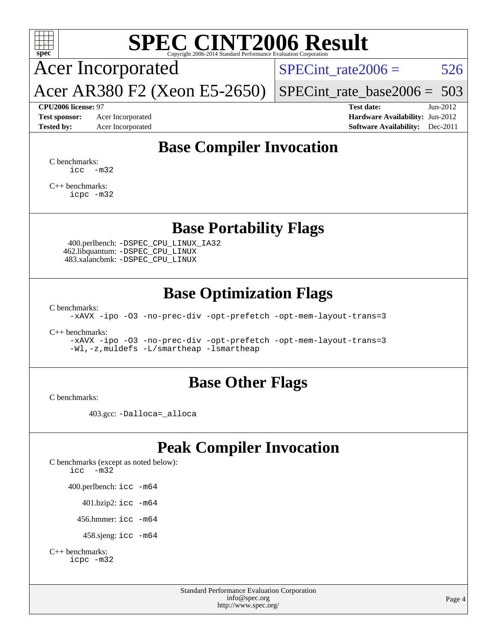

# **[SPEC CINT2006 Result](http://www.spec.org/auto/cpu2006/Docs/result-fields.html#SPECCINT2006Result)**

Acer Incorporated

SPECint rate $2006 = 526$ 

Acer AR380 F2 (Xeon E5-2650) [SPECint\\_rate\\_base2006 =](http://www.spec.org/auto/cpu2006/Docs/result-fields.html#SPECintratebase2006) 503

**[Tested by:](http://www.spec.org/auto/cpu2006/Docs/result-fields.html#Testedby)** Acer Incorporated **[Software Availability:](http://www.spec.org/auto/cpu2006/Docs/result-fields.html#SoftwareAvailability)** Dec-2011

**[CPU2006 license:](http://www.spec.org/auto/cpu2006/Docs/result-fields.html#CPU2006license)** 97 **[Test date:](http://www.spec.org/auto/cpu2006/Docs/result-fields.html#Testdate)** Jun-2012 **[Test sponsor:](http://www.spec.org/auto/cpu2006/Docs/result-fields.html#Testsponsor)** Acer Incorporated **[Hardware Availability:](http://www.spec.org/auto/cpu2006/Docs/result-fields.html#HardwareAvailability)** Jun-2012

## **[Base Compiler Invocation](http://www.spec.org/auto/cpu2006/Docs/result-fields.html#BaseCompilerInvocation)**

[C benchmarks](http://www.spec.org/auto/cpu2006/Docs/result-fields.html#Cbenchmarks):  $\text{icc}$   $-\text{m32}$ 

[C++ benchmarks:](http://www.spec.org/auto/cpu2006/Docs/result-fields.html#CXXbenchmarks) [icpc -m32](http://www.spec.org/cpu2006/results/res2012q3/cpu2006-20120608-22844.flags.html#user_CXXbase_intel_icpc_4e5a5ef1a53fd332b3c49e69c3330699)

#### **[Base Portability Flags](http://www.spec.org/auto/cpu2006/Docs/result-fields.html#BasePortabilityFlags)**

 400.perlbench: [-DSPEC\\_CPU\\_LINUX\\_IA32](http://www.spec.org/cpu2006/results/res2012q3/cpu2006-20120608-22844.flags.html#b400.perlbench_baseCPORTABILITY_DSPEC_CPU_LINUX_IA32) 462.libquantum: [-DSPEC\\_CPU\\_LINUX](http://www.spec.org/cpu2006/results/res2012q3/cpu2006-20120608-22844.flags.html#b462.libquantum_baseCPORTABILITY_DSPEC_CPU_LINUX) 483.xalancbmk: [-DSPEC\\_CPU\\_LINUX](http://www.spec.org/cpu2006/results/res2012q3/cpu2006-20120608-22844.flags.html#b483.xalancbmk_baseCXXPORTABILITY_DSPEC_CPU_LINUX)

## **[Base Optimization Flags](http://www.spec.org/auto/cpu2006/Docs/result-fields.html#BaseOptimizationFlags)**

[C benchmarks](http://www.spec.org/auto/cpu2006/Docs/result-fields.html#Cbenchmarks):

[-xAVX](http://www.spec.org/cpu2006/results/res2012q3/cpu2006-20120608-22844.flags.html#user_CCbase_f-xAVX) [-ipo](http://www.spec.org/cpu2006/results/res2012q3/cpu2006-20120608-22844.flags.html#user_CCbase_f-ipo) [-O3](http://www.spec.org/cpu2006/results/res2012q3/cpu2006-20120608-22844.flags.html#user_CCbase_f-O3) [-no-prec-div](http://www.spec.org/cpu2006/results/res2012q3/cpu2006-20120608-22844.flags.html#user_CCbase_f-no-prec-div) [-opt-prefetch](http://www.spec.org/cpu2006/results/res2012q3/cpu2006-20120608-22844.flags.html#user_CCbase_f-opt-prefetch) [-opt-mem-layout-trans=3](http://www.spec.org/cpu2006/results/res2012q3/cpu2006-20120608-22844.flags.html#user_CCbase_f-opt-mem-layout-trans_a7b82ad4bd7abf52556d4961a2ae94d5)

[C++ benchmarks:](http://www.spec.org/auto/cpu2006/Docs/result-fields.html#CXXbenchmarks)

[-xAVX](http://www.spec.org/cpu2006/results/res2012q3/cpu2006-20120608-22844.flags.html#user_CXXbase_f-xAVX) [-ipo](http://www.spec.org/cpu2006/results/res2012q3/cpu2006-20120608-22844.flags.html#user_CXXbase_f-ipo) [-O3](http://www.spec.org/cpu2006/results/res2012q3/cpu2006-20120608-22844.flags.html#user_CXXbase_f-O3) [-no-prec-div](http://www.spec.org/cpu2006/results/res2012q3/cpu2006-20120608-22844.flags.html#user_CXXbase_f-no-prec-div) [-opt-prefetch](http://www.spec.org/cpu2006/results/res2012q3/cpu2006-20120608-22844.flags.html#user_CXXbase_f-opt-prefetch) [-opt-mem-layout-trans=3](http://www.spec.org/cpu2006/results/res2012q3/cpu2006-20120608-22844.flags.html#user_CXXbase_f-opt-mem-layout-trans_a7b82ad4bd7abf52556d4961a2ae94d5) [-Wl,-z,muldefs](http://www.spec.org/cpu2006/results/res2012q3/cpu2006-20120608-22844.flags.html#user_CXXbase_link_force_multiple1_74079c344b956b9658436fd1b6dd3a8a) [-L/smartheap -lsmartheap](http://www.spec.org/cpu2006/results/res2012q3/cpu2006-20120608-22844.flags.html#user_CXXbase_SmartHeap_7c9e394a5779e1a7fec7c221e123830c)

#### **[Base Other Flags](http://www.spec.org/auto/cpu2006/Docs/result-fields.html#BaseOtherFlags)**

[C benchmarks](http://www.spec.org/auto/cpu2006/Docs/result-fields.html#Cbenchmarks):

403.gcc: [-Dalloca=\\_alloca](http://www.spec.org/cpu2006/results/res2012q3/cpu2006-20120608-22844.flags.html#b403.gcc_baseEXTRA_CFLAGS_Dalloca_be3056838c12de2578596ca5467af7f3)

## **[Peak Compiler Invocation](http://www.spec.org/auto/cpu2006/Docs/result-fields.html#PeakCompilerInvocation)**

[C benchmarks \(except as noted below\)](http://www.spec.org/auto/cpu2006/Docs/result-fields.html#Cbenchmarksexceptasnotedbelow): [icc -m32](http://www.spec.org/cpu2006/results/res2012q3/cpu2006-20120608-22844.flags.html#user_CCpeak_intel_icc_5ff4a39e364c98233615fdd38438c6f2) 400.perlbench: [icc -m64](http://www.spec.org/cpu2006/results/res2012q3/cpu2006-20120608-22844.flags.html#user_peakCCLD400_perlbench_intel_icc_64bit_bda6cc9af1fdbb0edc3795bac97ada53) 401.bzip2: [icc -m64](http://www.spec.org/cpu2006/results/res2012q3/cpu2006-20120608-22844.flags.html#user_peakCCLD401_bzip2_intel_icc_64bit_bda6cc9af1fdbb0edc3795bac97ada53)

456.hmmer: [icc -m64](http://www.spec.org/cpu2006/results/res2012q3/cpu2006-20120608-22844.flags.html#user_peakCCLD456_hmmer_intel_icc_64bit_bda6cc9af1fdbb0edc3795bac97ada53)

458.sjeng: [icc -m64](http://www.spec.org/cpu2006/results/res2012q3/cpu2006-20120608-22844.flags.html#user_peakCCLD458_sjeng_intel_icc_64bit_bda6cc9af1fdbb0edc3795bac97ada53)

```
C++ benchmarks: 
    icpc -m32
```
Standard Performance Evaluation Corporation [info@spec.org](mailto:info@spec.org) <http://www.spec.org/>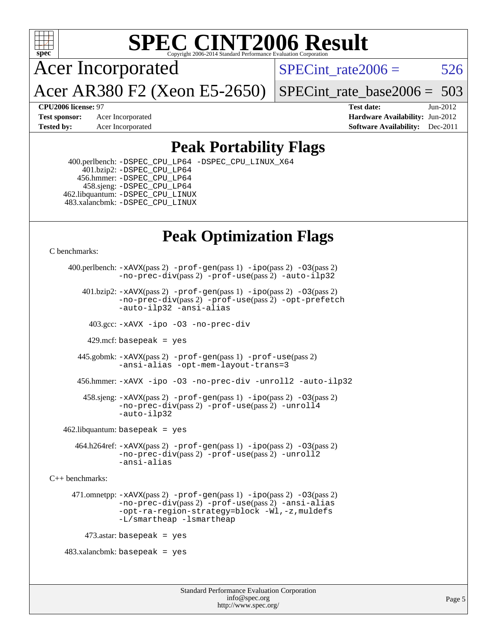

# **[SPEC CINT2006 Result](http://www.spec.org/auto/cpu2006/Docs/result-fields.html#SPECCINT2006Result)**

Acer Incorporated

SPECint rate $2006 = 526$ 

Acer AR380 F2 (Xeon E5-2650)

[SPECint\\_rate\\_base2006 =](http://www.spec.org/auto/cpu2006/Docs/result-fields.html#SPECintratebase2006) 503

**[CPU2006 license:](http://www.spec.org/auto/cpu2006/Docs/result-fields.html#CPU2006license)** 97 **[Test date:](http://www.spec.org/auto/cpu2006/Docs/result-fields.html#Testdate)** Jun-2012 **[Test sponsor:](http://www.spec.org/auto/cpu2006/Docs/result-fields.html#Testsponsor)** Acer Incorporated **[Hardware Availability:](http://www.spec.org/auto/cpu2006/Docs/result-fields.html#HardwareAvailability)** Jun-2012 **[Tested by:](http://www.spec.org/auto/cpu2006/Docs/result-fields.html#Testedby)** Acer Incorporated **[Software Availability:](http://www.spec.org/auto/cpu2006/Docs/result-fields.html#SoftwareAvailability)** Dec-2011

## **[Peak Portability Flags](http://www.spec.org/auto/cpu2006/Docs/result-fields.html#PeakPortabilityFlags)**

 400.perlbench: [-DSPEC\\_CPU\\_LP64](http://www.spec.org/cpu2006/results/res2012q3/cpu2006-20120608-22844.flags.html#b400.perlbench_peakCPORTABILITY_DSPEC_CPU_LP64) [-DSPEC\\_CPU\\_LINUX\\_X64](http://www.spec.org/cpu2006/results/res2012q3/cpu2006-20120608-22844.flags.html#b400.perlbench_peakCPORTABILITY_DSPEC_CPU_LINUX_X64) 401.bzip2: [-DSPEC\\_CPU\\_LP64](http://www.spec.org/cpu2006/results/res2012q3/cpu2006-20120608-22844.flags.html#suite_peakCPORTABILITY401_bzip2_DSPEC_CPU_LP64) 456.hmmer: [-DSPEC\\_CPU\\_LP64](http://www.spec.org/cpu2006/results/res2012q3/cpu2006-20120608-22844.flags.html#suite_peakCPORTABILITY456_hmmer_DSPEC_CPU_LP64) 458.sjeng: [-DSPEC\\_CPU\\_LP64](http://www.spec.org/cpu2006/results/res2012q3/cpu2006-20120608-22844.flags.html#suite_peakCPORTABILITY458_sjeng_DSPEC_CPU_LP64) 462.libquantum: [-DSPEC\\_CPU\\_LINUX](http://www.spec.org/cpu2006/results/res2012q3/cpu2006-20120608-22844.flags.html#b462.libquantum_peakCPORTABILITY_DSPEC_CPU_LINUX) 483.xalancbmk: [-DSPEC\\_CPU\\_LINUX](http://www.spec.org/cpu2006/results/res2012q3/cpu2006-20120608-22844.flags.html#b483.xalancbmk_peakCXXPORTABILITY_DSPEC_CPU_LINUX)

# **[Peak Optimization Flags](http://www.spec.org/auto/cpu2006/Docs/result-fields.html#PeakOptimizationFlags)**

[C benchmarks](http://www.spec.org/auto/cpu2006/Docs/result-fields.html#Cbenchmarks):

```
 400.perlbench: -xAVX(pass 2) -prof-gen(pass 1) -ipo(pass 2) -O3(pass 2)
                -no-prec-div(pass 2) -prof-use(pass 2) -auto-ilp32
        401.bzip2: -xAVX(pass 2) -prof-gen(pass 1) -ipo(pass 2) -O3(pass 2)
                -no-prec-div(pass 2) -prof-use(pass 2) -opt-prefetch
                -auto-ilp32 -ansi-alias
          403.gcc: -xAVX -ipo -O3 -no-prec-div
         429.mcf: basepeak = yes
       445.gobmk: -xAVX(pass 2) -prof-gen(pass 1) -prof-use(pass 2)
                -ansi-alias -opt-mem-layout-trans=3
       456.hmmer: -xAVX -ipo -O3 -no-prec-div -unroll2 -auto-ilp32
         458.sjeng: -xAVX(pass 2) -prof-gen(pass 1) -ipo(pass 2) -O3(pass 2)
                -no-prec-div(pass 2) -prof-use(pass 2) -unroll4
                -auto-ilp32
   462.libquantum: basepeak = yes
       464.h264ref: -xAVX(pass 2) -prof-gen(pass 1) -ipo(pass 2) -O3(pass 2)
                -no-prec-div(pass 2) -prof-use(pass 2) -unroll2
                -ansi-alias
C++ benchmarks: 
      471.omnetpp: -xAVX(pass 2) -prof-gen(pass 1) -ipo(pass 2) -O3(pass 2)
                -no-prec-div(pass 2) -prof-use(pass 2) -ansi-alias
                -opt-ra-region-strategy=block -Wl,-z,muldefs
                -L/smartheap -lsmartheap
        473.astar: basepeak = yes
   483.xalanchmk: basepeak = yes
```